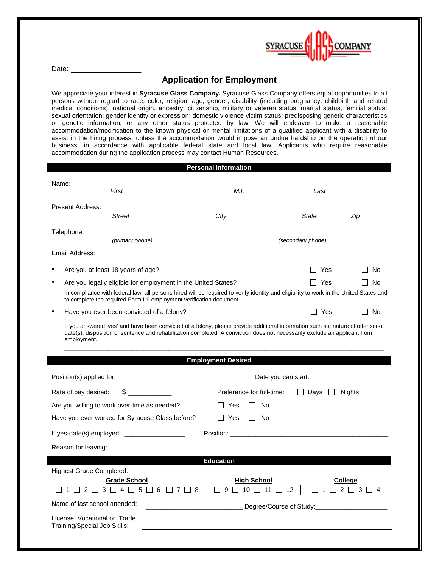

Date:  $\_\_$ 

## **Application for Employment**

We appreciate your interest in **Syracuse Glass Company.** Syracuse Glass Company offers equal opportunities to all persons without regard to race, color, religion, age, gender, disability (including pregnancy, childbirth and related medical conditions), national origin, ancestry, citizenship, military or veteran status, marital status, familial status; sexual orientation; gender identity or expression; domestic violence victim status; predisposing genetic characteristics or genetic information, or any other status protected by law. We will endeavor to make a reasonable accommodation/modification to the known physical or mental limitations of a qualified applicant with a disability to assist in the hiring process, unless the accommodation would impose an undue hardship on the operation of our business, in accordance with applicable federal state and local law. Applicants who require reasonable accommodation during the application process may contact Human Resources.

|                                                                                                                                                                                                                                                                                                           |                                                 | <b>Personal Information</b> |                   |                |
|-----------------------------------------------------------------------------------------------------------------------------------------------------------------------------------------------------------------------------------------------------------------------------------------------------------|-------------------------------------------------|-----------------------------|-------------------|----------------|
| Name:                                                                                                                                                                                                                                                                                                     | First                                           | M.I.                        | Last              |                |
| Present Address:                                                                                                                                                                                                                                                                                          |                                                 |                             |                   |                |
|                                                                                                                                                                                                                                                                                                           | Street                                          | City                        | State             | Zip            |
| Telephone:                                                                                                                                                                                                                                                                                                | (primary phone)                                 |                             | (secondary phone) |                |
| Email Address:                                                                                                                                                                                                                                                                                            |                                                 |                             |                   |                |
|                                                                                                                                                                                                                                                                                                           | Are you at least 18 years of age?               |                             | Yes               | No             |
|                                                                                                                                                                                                                                                                                                           |                                                 |                             |                   |                |
| Are you legally eligible for employment in the United States?<br>Yes<br>No.<br>In compliance with federal law, all persons hired will be required to verify identity and eligibility to work in the United States and<br>to complete the required Form I-9 employment verification document.              |                                                 |                             |                   |                |
| Have you ever been convicted of a felony?                                                                                                                                                                                                                                                                 |                                                 |                             | Yes               | No.            |
| If you answered 'yes' and have been convicted of a felony, please provide additional information such as; nature of offense(s),<br>date(s), disposition of sentence and rehabilitation completed. A conviction does not necessarily exclude an applicant from<br>employment.<br><b>Employment Desired</b> |                                                 |                             |                   |                |
| Position(s) applied for:<br>Date you can start:<br><u> 1989 - Andrea Station Barbara (h. 1989)</u>                                                                                                                                                                                                        |                                                 |                             |                   |                |
| Rate of pay desired:                                                                                                                                                                                                                                                                                      | $\mathbb{S}$                                    | Preference for full-time:   | Days<br>$\perp$   | Nights         |
| Are you willing to work over-time as needed?                                                                                                                                                                                                                                                              |                                                 | Yes<br>No                   |                   |                |
|                                                                                                                                                                                                                                                                                                           | Have you ever worked for Syracuse Glass before? | Yes<br>No<br>$\mathsf{L}$   |                   |                |
| If yes-date(s) employed: ____________________                                                                                                                                                                                                                                                             |                                                 |                             |                   |                |
| Reason for leaving: Note that the set of the set of the set of the set of the set of the set of the set of the                                                                                                                                                                                            |                                                 |                             |                   |                |
|                                                                                                                                                                                                                                                                                                           |                                                 | <b>Education</b>            |                   |                |
| <b>Highest Grade Completed:</b>                                                                                                                                                                                                                                                                           | <b>Grade School</b>                             | <b>High School</b>          |                   | <b>College</b> |
| $\Box$ 1 $\Box$ 2 $\Box$ 3 $\Box$ 4 $\Box$ 5 $\Box$ 6 $\Box$ 7 $\Box$ 8 $\vert$ $\Box$ 9 $\Box$ 10 $\Box$ 11 $\Box$ 12 $\vert$                                                                                                                                                                            |                                                 |                             |                   |                |
| Name of last school attended:<br>_____________________________________Degree/Course of Study:____________________                                                                                                                                                                                         |                                                 |                             |                   |                |
| License, Vocational or Trade<br>Training/Special Job Skills:                                                                                                                                                                                                                                              |                                                 |                             |                   |                |
|                                                                                                                                                                                                                                                                                                           |                                                 |                             |                   |                |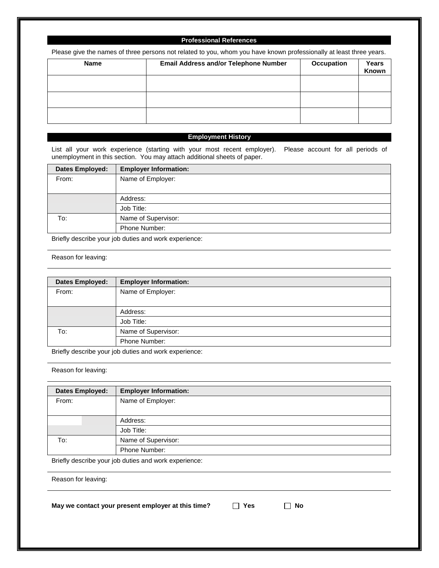## **Professional References**

Please give the names of three persons not related to you, whom you have known professionally at least three years.

| <b>Name</b> | <b>Email Address and/or Telephone Number</b> | Occupation | Years<br>Known |
|-------------|----------------------------------------------|------------|----------------|
|             |                                              |            |                |
|             |                                              |            |                |
|             |                                              |            |                |

## **Employment History**

List all your work experience (starting with your most recent employer). Please account for all periods of unemployment in this section. You may attach additional sheets of paper.

| <b>Dates Employed:</b> | <b>Employer Information:</b> |
|------------------------|------------------------------|
| From:                  | Name of Employer:            |
|                        |                              |
|                        | Address:                     |
|                        | Job Title:                   |
| To:                    | Name of Supervisor:          |
|                        | Phone Number:                |

Briefly describe your job duties and work experience:

Reason for leaving:

| <b>Dates Employed:</b> | <b>Employer Information:</b> |
|------------------------|------------------------------|
| From:                  | Name of Employer:            |
|                        |                              |
|                        | Address:                     |
|                        | Job Title:                   |
| To:                    | Name of Supervisor:          |
|                        | Phone Number:                |
|                        |                              |

Briefly describe your job duties and work experience:

Reason for leaving:

| <b>Dates Employed:</b>                                | <b>Employer Information:</b> |
|-------------------------------------------------------|------------------------------|
| From:                                                 | Name of Employer:            |
|                                                       |                              |
|                                                       | Address:                     |
|                                                       | Job Title:                   |
| To:                                                   | Name of Supervisor:          |
|                                                       | Phone Number:                |
| Briefly describe your job duties and work experience: |                              |

Briefly describe your job duties and work experience:

Reason for leaving:

May we contact your present employer at this time?  $\Box$  Yes  $\Box$  No